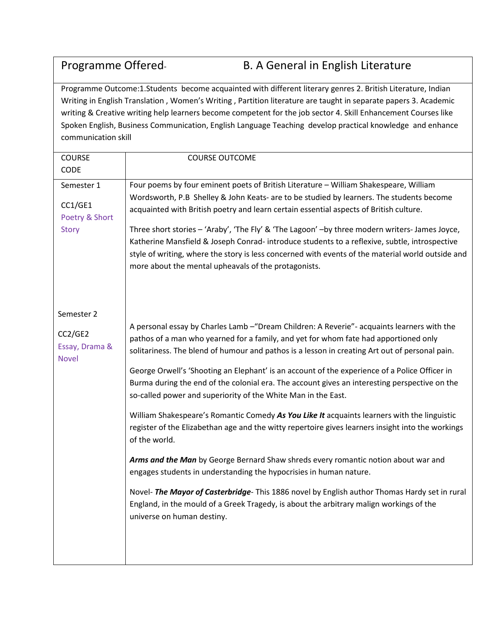## Programme Offered- B. A General in English Literature

Programme Outcome:1.Students become acquainted with different literary genres 2. British Literature, Indian Writing in English Translation , Women's Writing , Partition literature are taught in separate papers 3. Academic writing & Creative writing help learners become competent for the job sector 4. Skill Enhancement Courses like Spoken English, Business Communication, English Language Teaching develop practical knowledge and enhance communication skill

| <b>COURSE</b><br>CODE                                   | <b>COURSE OUTCOME</b>                                                                                                                                                                                                                                                                                                                                                                                                                                                                                                                                                                                                                                                                                                                                                                                                                                                                                                                                                                                                                                                                                                                                                |
|---------------------------------------------------------|----------------------------------------------------------------------------------------------------------------------------------------------------------------------------------------------------------------------------------------------------------------------------------------------------------------------------------------------------------------------------------------------------------------------------------------------------------------------------------------------------------------------------------------------------------------------------------------------------------------------------------------------------------------------------------------------------------------------------------------------------------------------------------------------------------------------------------------------------------------------------------------------------------------------------------------------------------------------------------------------------------------------------------------------------------------------------------------------------------------------------------------------------------------------|
| Semester 1<br>CC1/GE1<br>Poetry & Short<br><b>Story</b> | Four poems by four eminent poets of British Literature - William Shakespeare, William<br>Wordsworth, P.B Shelley & John Keats- are to be studied by learners. The students become<br>acquainted with British poetry and learn certain essential aspects of British culture.<br>Three short stories - 'Araby', 'The Fly' & 'The Lagoon' -by three modern writers- James Joyce,<br>Katherine Mansfield & Joseph Conrad-introduce students to a reflexive, subtle, introspective<br>style of writing, where the story is less concerned with events of the material world outside and<br>more about the mental upheavals of the protagonists.                                                                                                                                                                                                                                                                                                                                                                                                                                                                                                                           |
| Semester 2<br>CC2/GE2<br>Essay, Drama &<br><b>Novel</b> | A personal essay by Charles Lamb - "Dream Children: A Reverie" - acquaints learners with the<br>pathos of a man who yearned for a family, and yet for whom fate had apportioned only<br>solitariness. The blend of humour and pathos is a lesson in creating Art out of personal pain.<br>George Orwell's 'Shooting an Elephant' is an account of the experience of a Police Officer in<br>Burma during the end of the colonial era. The account gives an interesting perspective on the<br>so-called power and superiority of the White Man in the East.<br>William Shakespeare's Romantic Comedy As You Like It acquaints learners with the linguistic<br>register of the Elizabethan age and the witty repertoire gives learners insight into the workings<br>of the world.<br>Arms and the Man by George Bernard Shaw shreds every romantic notion about war and<br>engages students in understanding the hypocrisies in human nature.<br>Novel- The Mayor of Casterbridge- This 1886 novel by English author Thomas Hardy set in rural<br>England, in the mould of a Greek Tragedy, is about the arbitrary malign workings of the<br>universe on human destiny. |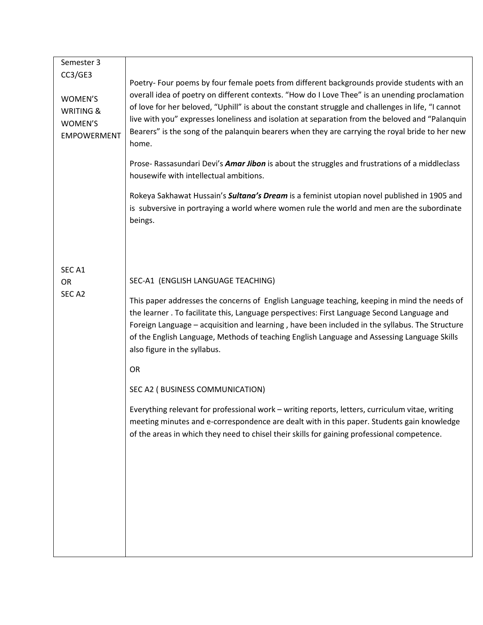| Semester 3                     |                                                                                                                                                                                               |  |  |  |
|--------------------------------|-----------------------------------------------------------------------------------------------------------------------------------------------------------------------------------------------|--|--|--|
| CC3/GE3                        |                                                                                                                                                                                               |  |  |  |
|                                | Poetry- Four poems by four female poets from different backgrounds provide students with an<br>overall idea of poetry on different contexts. "How do I Love Thee" is an unending proclamation |  |  |  |
| WOMEN'S                        | of love for her beloved, "Uphill" is about the constant struggle and challenges in life, "I cannot                                                                                            |  |  |  |
| <b>WRITING &amp;</b>           | live with you" expresses loneliness and isolation at separation from the beloved and "Palanquin                                                                                               |  |  |  |
| WOMEN'S                        | Bearers" is the song of the palanquin bearers when they are carrying the royal bride to her new                                                                                               |  |  |  |
| <b>EMPOWERMENT</b>             | home.                                                                                                                                                                                         |  |  |  |
|                                |                                                                                                                                                                                               |  |  |  |
|                                | Prose- Rassasundari Devi's Amar Jibon is about the struggles and frustrations of a middleclass<br>housewife with intellectual ambitions.                                                      |  |  |  |
|                                |                                                                                                                                                                                               |  |  |  |
|                                | Rokeya Sakhawat Hussain's Sultana's Dream is a feminist utopian novel published in 1905 and                                                                                                   |  |  |  |
|                                | is subversive in portraying a world where women rule the world and men are the subordinate<br>beings.                                                                                         |  |  |  |
|                                |                                                                                                                                                                                               |  |  |  |
|                                |                                                                                                                                                                                               |  |  |  |
|                                |                                                                                                                                                                                               |  |  |  |
| SEC <sub>A1</sub><br><b>OR</b> | SEC-A1 (ENGLISH LANGUAGE TEACHING)                                                                                                                                                            |  |  |  |
| SEC <sub>A2</sub>              |                                                                                                                                                                                               |  |  |  |
|                                | This paper addresses the concerns of English Language teaching, keeping in mind the needs of                                                                                                  |  |  |  |
|                                | the learner . To facilitate this, Language perspectives: First Language Second Language and                                                                                                   |  |  |  |
|                                | Foreign Language - acquisition and learning, have been included in the syllabus. The Structure<br>of the English Language, Methods of teaching English Language and Assessing Language Skills |  |  |  |
|                                | also figure in the syllabus.                                                                                                                                                                  |  |  |  |
|                                |                                                                                                                                                                                               |  |  |  |
|                                | OR                                                                                                                                                                                            |  |  |  |
|                                | SEC A2 (BUSINESS COMMUNICATION)                                                                                                                                                               |  |  |  |
|                                | Everything relevant for professional work - writing reports, letters, curriculum vitae, writing                                                                                               |  |  |  |
|                                | meeting minutes and e-correspondence are dealt with in this paper. Students gain knowledge                                                                                                    |  |  |  |
|                                | of the areas in which they need to chisel their skills for gaining professional competence.                                                                                                   |  |  |  |
|                                |                                                                                                                                                                                               |  |  |  |
|                                |                                                                                                                                                                                               |  |  |  |
|                                |                                                                                                                                                                                               |  |  |  |
|                                |                                                                                                                                                                                               |  |  |  |
|                                |                                                                                                                                                                                               |  |  |  |
|                                |                                                                                                                                                                                               |  |  |  |
|                                |                                                                                                                                                                                               |  |  |  |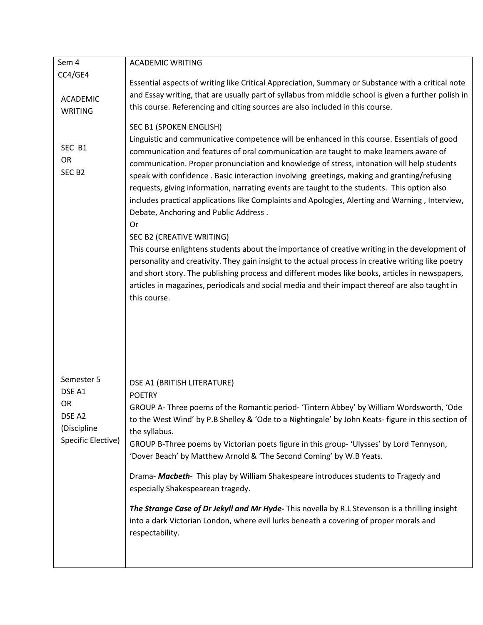| Sem 4              | <b>ACADEMIC WRITING</b>                                                                              |  |  |  |  |
|--------------------|------------------------------------------------------------------------------------------------------|--|--|--|--|
| CC4/GE4            |                                                                                                      |  |  |  |  |
|                    | Essential aspects of writing like Critical Appreciation, Summary or Substance with a critical note   |  |  |  |  |
| <b>ACADEMIC</b>    | and Essay writing, that are usually part of syllabus from middle school is given a further polish in |  |  |  |  |
| <b>WRITING</b>     | this course. Referencing and citing sources are also included in this course.                        |  |  |  |  |
|                    |                                                                                                      |  |  |  |  |
|                    | SEC B1 (SPOKEN ENGLISH)                                                                              |  |  |  |  |
| SEC B1             | Linguistic and communicative competence will be enhanced in this course. Essentials of good          |  |  |  |  |
| <b>OR</b>          | communication and features of oral communication are taught to make learners aware of                |  |  |  |  |
| SEC <sub>B2</sub>  | communication. Proper pronunciation and knowledge of stress, intonation will help students           |  |  |  |  |
|                    | speak with confidence . Basic interaction involving greetings, making and granting/refusing          |  |  |  |  |
|                    | requests, giving information, narrating events are taught to the students. This option also          |  |  |  |  |
|                    | includes practical applications like Complaints and Apologies, Alerting and Warning, Interview,      |  |  |  |  |
|                    | Debate, Anchoring and Public Address.                                                                |  |  |  |  |
|                    | Or                                                                                                   |  |  |  |  |
|                    | SEC B2 (CREATIVE WRITING)                                                                            |  |  |  |  |
|                    | This course enlightens students about the importance of creative writing in the development of       |  |  |  |  |
|                    | personality and creativity. They gain insight to the actual process in creative writing like poetry  |  |  |  |  |
|                    | and short story. The publishing process and different modes like books, articles in newspapers,      |  |  |  |  |
|                    | articles in magazines, periodicals and social media and their impact thereof are also taught in      |  |  |  |  |
|                    | this course.                                                                                         |  |  |  |  |
|                    |                                                                                                      |  |  |  |  |
|                    |                                                                                                      |  |  |  |  |
|                    |                                                                                                      |  |  |  |  |
|                    |                                                                                                      |  |  |  |  |
|                    |                                                                                                      |  |  |  |  |
|                    |                                                                                                      |  |  |  |  |
| Semester 5         | DSE A1 (BRITISH LITERATURE)                                                                          |  |  |  |  |
| DSE A1             | <b>POETRY</b>                                                                                        |  |  |  |  |
| OR                 | GROUP A- Three poems of the Romantic period- 'Tintern Abbey' by William Wordsworth, 'Ode             |  |  |  |  |
| DSE A2             | to the West Wind' by P.B Shelley & 'Ode to a Nightingale' by John Keats- figure in this section of   |  |  |  |  |
| (Discipline        | the syllabus.                                                                                        |  |  |  |  |
| Specific Elective) | GROUP B-Three poems by Victorian poets figure in this group- 'Ulysses' by Lord Tennyson,             |  |  |  |  |
|                    | 'Dover Beach' by Matthew Arnold & 'The Second Coming' by W.B Yeats.                                  |  |  |  |  |
|                    |                                                                                                      |  |  |  |  |
|                    | Drama- Macbeth- This play by William Shakespeare introduces students to Tragedy and                  |  |  |  |  |
|                    | especially Shakespearean tragedy.                                                                    |  |  |  |  |
|                    |                                                                                                      |  |  |  |  |
|                    | The Strange Case of Dr Jekyll and Mr Hyde-This novella by R.L Stevenson is a thrilling insight       |  |  |  |  |
|                    | into a dark Victorian London, where evil lurks beneath a covering of proper morals and               |  |  |  |  |
|                    | respectability.                                                                                      |  |  |  |  |
|                    |                                                                                                      |  |  |  |  |
|                    |                                                                                                      |  |  |  |  |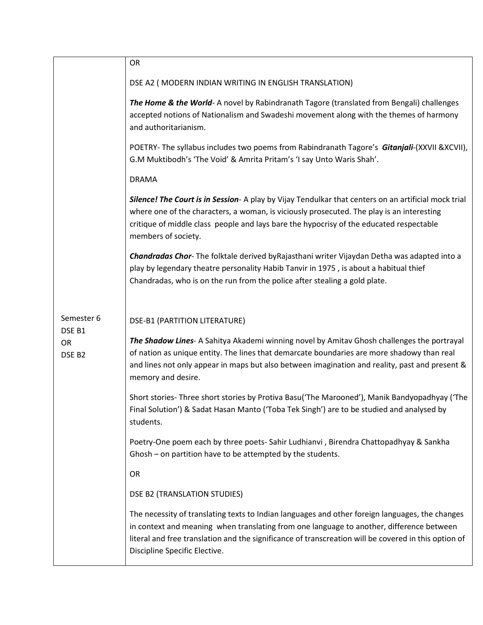|                          | OR                                                                                                                                                                                                                                                                                                                                   |
|--------------------------|--------------------------------------------------------------------------------------------------------------------------------------------------------------------------------------------------------------------------------------------------------------------------------------------------------------------------------------|
|                          | DSE A2 ( MODERN INDIAN WRITING IN ENGLISH TRANSLATION)                                                                                                                                                                                                                                                                               |
|                          | The Home & the World-A novel by Rabindranath Tagore (translated from Bengali) challenges<br>accepted notions of Nationalism and Swadeshi movement along with the themes of harmony<br>and authoritarianism.                                                                                                                          |
|                          | POETRY- The syllabus includes two poems from Rabindranath Tagore's Gitanjali-(XXVII & XCVII),<br>G.M Muktibodh's 'The Void' & Amrita Pritam's 'I say Unto Waris Shah'.                                                                                                                                                               |
|                          | <b>DRAMA</b>                                                                                                                                                                                                                                                                                                                         |
|                          | Silence! The Court is in Session- A play by Vijay Tendulkar that centers on an artificial mock trial<br>where one of the characters, a woman, is viciously prosecuted. The play is an interesting<br>critique of middle class people and lays bare the hypocrisy of the educated respectable<br>members of society.                  |
|                          | Chandradas Chor-The folktale derived by Rajasthani writer Vijaydan Detha was adapted into a<br>play by legendary theatre personality Habib Tanvir in 1975, is about a habitual thief<br>Chandradas, who is on the run from the police after stealing a gold plate.                                                                   |
| Semester 6<br>DSE B1     | <b>DSE-B1 (PARTITION LITERATURE)</b>                                                                                                                                                                                                                                                                                                 |
| OR<br>DSE B <sub>2</sub> | The Shadow Lines- A Sahitya Akademi winning novel by Amitav Ghosh challenges the portrayal<br>of nation as unique entity. The lines that demarcate boundaries are more shadowy than real<br>and lines not only appear in maps but also between imagination and reality, past and present &<br>memory and desire.                     |
|                          | Short stories-Three short stories by Protiva Basu('The Marooned'), Manik Bandyopadhyay ('The<br>Final Solution') & Sadat Hasan Manto ('Toba Tek Singh') are to be studied and analysed by<br>students.                                                                                                                               |
|                          | Poetry-One poem each by three poets- Sahir Ludhianvi, Birendra Chattopadhyay & Sankha<br>Ghosh - on partition have to be attempted by the students.                                                                                                                                                                                  |
|                          | OR                                                                                                                                                                                                                                                                                                                                   |
|                          | DSE B2 (TRANSLATION STUDIES)                                                                                                                                                                                                                                                                                                         |
|                          | The necessity of translating texts to Indian languages and other foreign languages, the changes<br>in context and meaning when translating from one language to another, difference between<br>literal and free translation and the significance of transcreation will be covered in this option of<br>Discipline Specific Elective. |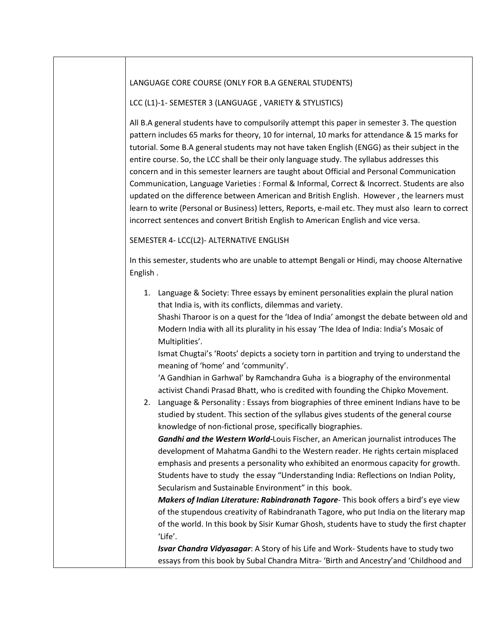## LANGUAGE CORE COURSE (ONLY FOR B.A GENERAL STUDENTS)

LCC (L1)-1- SEMESTER 3 (LANGUAGE , VARIETY & STYLISTICS)

All B.A general students have to compulsorily attempt this paper in semester 3. The question pattern includes 65 marks for theory, 10 for internal, 10 marks for attendance & 15 marks for tutorial. Some B.A general students may not have taken English (ENGG) as their subject in the entire course. So, the LCC shall be their only language study. The syllabus addresses this concern and in this semester learners are taught about Official and Personal Communication Communication, Language Varieties : Formal & Informal, Correct & Incorrect. Students are also updated on the difference between American and British English. However , the learners must learn to write (Personal or Business) letters, Reports, e-mail etc. They must also learn to correct incorrect sentences and convert British English to American English and vice versa.

## SEMESTER 4- LCC(L2)- ALTERNATIVE ENGLISH

In this semester, students who are unable to attempt Bengali or Hindi, may choose Alternative English .

1. Language & Society: Three essays by eminent personalities explain the plural nation that India is, with its conflicts, dilemmas and variety.

Shashi Tharoor is on a quest for the 'Idea of India' amongst the debate between old and Modern India with all its plurality in his essay 'The Idea of India: India's Mosaic of Multiplities'.

Ismat Chugtai's 'Roots' depicts a society torn in partition and trying to understand the meaning of 'home' and 'community'.

'A Gandhian in Garhwal' by Ramchandra Guha is a biography of the environmental activist Chandi Prasad Bhatt, who is credited with founding the Chipko Movement.

2. Language & Personality : Essays from biographies of three eminent Indians have to be studied by student. This section of the syllabus gives students of the general course knowledge of non-fictional prose, specifically biographies.

*Gandhi and the Western World-*Louis Fischer, an American journalist introduces The development of Mahatma Gandhi to the Western reader. He rights certain misplaced emphasis and presents a personality who exhibited an enormous capacity for growth. Students have to study the essay "Understanding India: Reflections on Indian Polity, Secularism and Sustainable Environment" in this book.

*Makers of Indian Literature: Rabindranath Tagore*- This book offers a bird's eye view of the stupendous creativity of Rabindranath Tagore, who put India on the literary map of the world. In this book by Sisir Kumar Ghosh, students have to study the first chapter 'Life'.

*Isvar Chandra Vidyasagar*: A Story of his Life and Work- Students have to study two essays from this book by Subal Chandra Mitra- 'Birth and Ancestry'and 'Childhood and